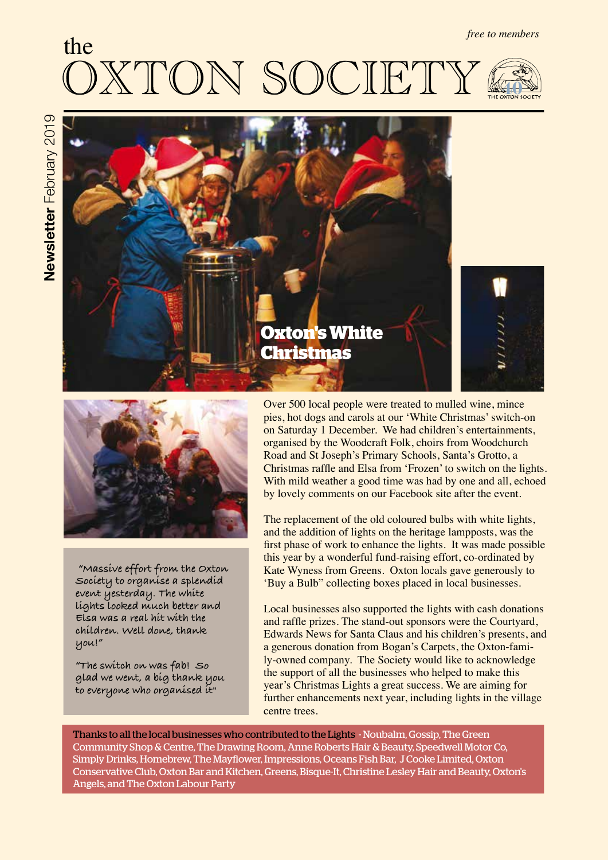# *free to members* the  $\int_{0}^{\infty}$ UN **40**





 **"Massive effort from the Oxton Society to organise a splendid event yesterday. The white lights looked much better and Elsa was a real hit with the children. Well done, thank you!"**

**"The switch on was fab! So glad we went, a big thank you to everyone who organised it"**

Over 500 local people were treated to mulled wine, mince pies, hot dogs and carols at our 'White Christmas' switch-on on Saturday 1 December. We had children's entertainments, organised by the Woodcraft Folk, choirs from Woodchurch Road and St Joseph's Primary Schools, Santa's Grotto, a Christmas raffe and Elsa from 'Frozen' to switch on the lights. With mild weather a good time was had by one and all, echoed by lovely comments on our Facebook site after the event.

The replacement of the old coloured bulbs with white lights, and the addition of lights on the heritage lampposts, was the frst phase of work to enhance the lights. It was made possible this year by a wonderful fund-raising effort, co-ordinated by Kate Wyness from Greens. Oxton locals gave generously to 'Buy a Bulb" collecting boxes placed in local businesses.

Local businesses also supported the lights with cash donations and raffe prizes. The stand-out sponsors were the Courtyard, Edwards News for Santa Claus and his children's presents, and a generous donation from Bogan's Carpets, the Oxton-family-owned company. The Society would like to acknowledge the support of all the businesses who helped to make this year's Christmas Lights a great success. We are aiming for further enhancements next year, including lights in the village centre trees.

Thanks to all the local businesses who contributed to the Lights - Noubalm, Gossip, The Green Community Shop & Centre, The Drawing Room, Anne Roberts Hair & Beauty, Speedwell Motor Co, Simply Drinks, Homebrew, The Mayfower, Impressions, Oceans Fish Bar, J Cooke Limited, Oxton Conservative Club, Oxton Bar and Kitchen, Greens, Bisque-It, Christine Lesley Hair and Beauty, Oxton's Angels, and The Oxton Labour Party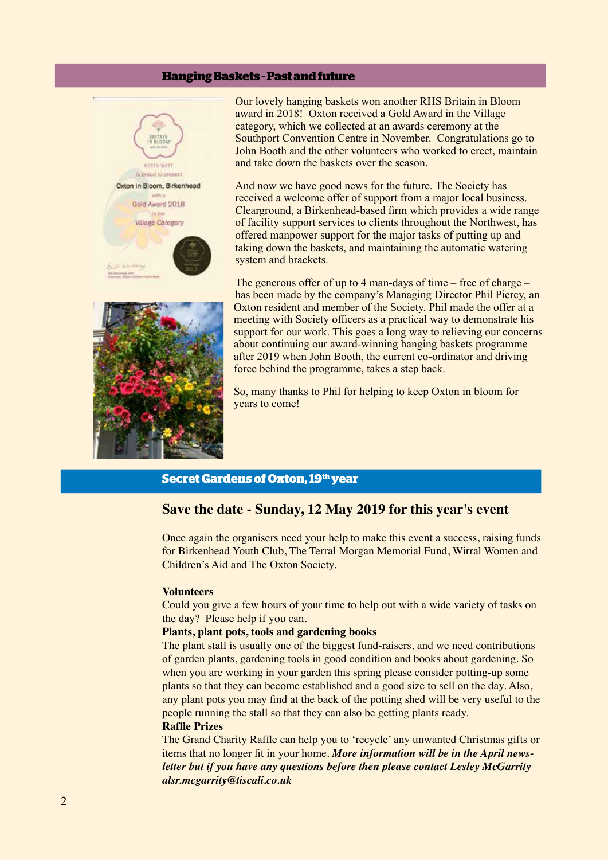# **Hanging Baskets - Past and future**



Our lovely hanging baskets won another RHS Britain in Bloom award in 2018! Oxton received a Gold Award in the Village category, which we collected at an awards ceremony at the Southport Convention Centre in November. Congratulations go to John Booth and the other volunteers who worked to erect, maintain and take down the baskets over the season.

And now we have good news for the future. The Society has received a welcome offer of support from a major local business. Clearground, a Birkenhead-based frm which provides a wide range of facility support services to clients throughout the Northwest, has offered manpower support for the major tasks of putting up and taking down the baskets, and maintaining the automatic watering system and brackets.



The generous offer of up to 4 man-days of time – free of charge – has been made by the company's Managing Director Phil Piercy, an Oxton resident and member of the Society. Phil made the offer at a meeting with Society officers as a practical way to demonstrate his support for our work. This goes a long way to relieving our concerns about continuing our award-winning hanging baskets programme after 2019 when John Booth, the current co-ordinator and driving force behind the programme, takes a step back.

So, many thanks to Phil for helping to keep Oxton in bloom for years to come!

# **Secret Gardens of Oxton, 19th year**

# **Save the date - Sunday, 12 May 2019 for this year's event**

Once again the organisers need your help to make this event a success, raising funds for Birkenhead Youth Club, The Terral Morgan Memorial Fund, Wirral Women and Children's Aid and The Oxton Society.

## **Volunteers**

Could you give a few hours of your time to help out with a wide variety of tasks on the day? Please help if you can.

# **Plants, plant pots, tools and gardening books**

The plant stall is usually one of the biggest fund-raisers, and we need contributions of garden plants, gardening tools in good condition and books about gardening. So when you are working in your garden this spring please consider potting-up some plants so that they can become established and a good size to sell on the day. Also, any plant pots you may fnd at the back of the potting shed will be very useful to the people running the stall so that they can also be getting plants ready.

# **Raffe Prizes**

The Grand Charity Raffe can help you to 'recycle' any unwanted Christmas gifts or items that no longer ft in your home. *More information will be in the April newsletter but if you have any questions before then please contact Lesley McGarrity alsr.mcgarrity@tiscali.co.uk*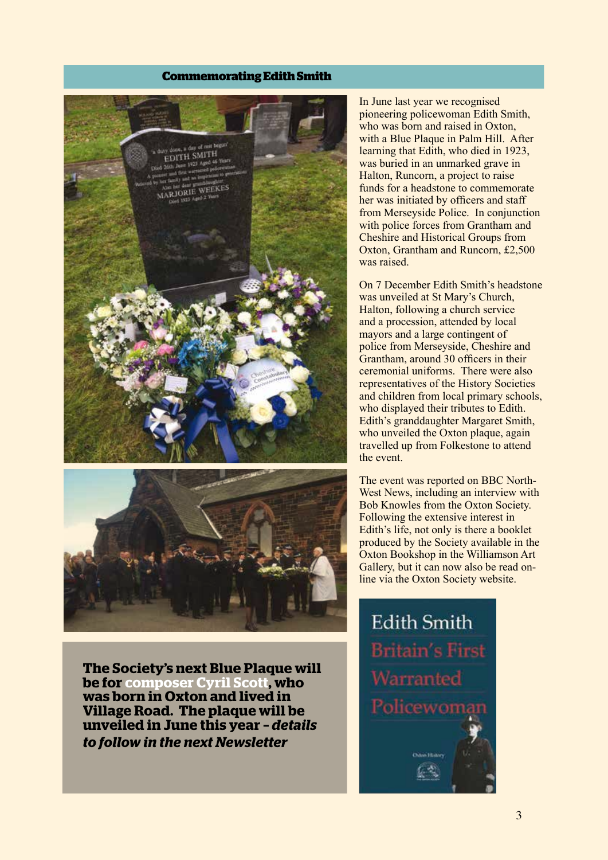# **Commemorating Edith Smith**





**The Society's next Blue Plaque will be for composer Cyril Scott, who was born in Oxton and lived in Village Road. The plaque will be unveiled in June this year –** *details to follow in the next Newsletter*

In June last year we recognised pioneering policewoman Edith Smith, who was born and raised in Oxton, with a Blue Plaque in Palm Hill. After learning that Edith, who died in 1923, was buried in an unmarked grave in Halton, Runcorn, a project to raise funds for a headstone to commemorate her was initiated by officers and staff from Merseyside Police. In conjunction with police forces from Grantham and Cheshire and Historical Groups from Oxton, Grantham and Runcorn, £2,500 was raised.

On 7 December Edith Smith's headstone was unveiled at St Mary's Church, Halton, following a church service and a procession, attended by local mayors and a large contingent of police from Merseyside, Cheshire and Grantham, around 30 officers in their ceremonial uniforms. There were also representatives of the History Societies and children from local primary schools, who displayed their tributes to Edith. Edith's granddaughter Margaret Smith, who unveiled the Oxton plaque, again travelled up from Folkestone to attend the event.

The event was reported on BBC North-West News, including an interview with Bob Knowles from the Oxton Society. Following the extensive interest in Edith's life, not only is there a booklet produced by the Society available in the Oxton Bookshop in the Williamson Art Gallery, but it can now also be read online via the Oxton Society website.

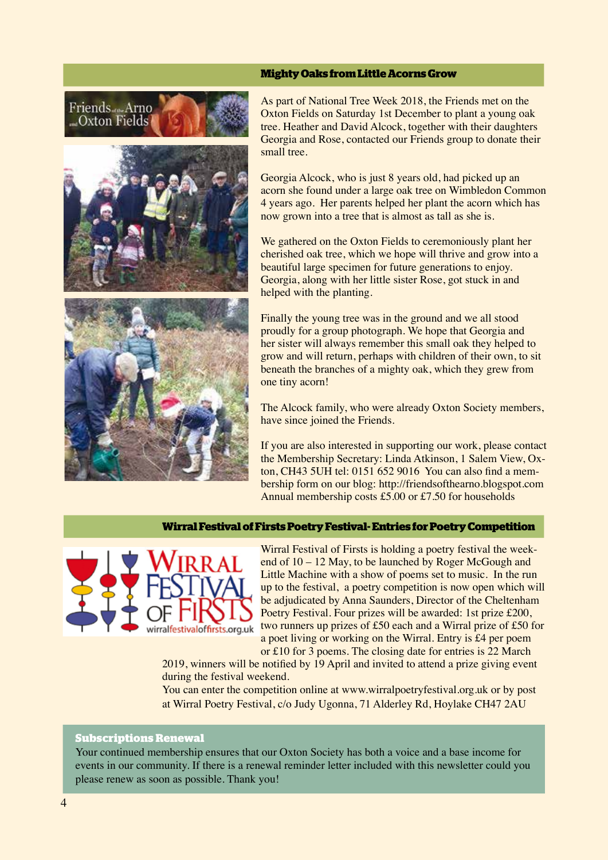# **Mighty Oaks from Little Acorns Grow**





As part of National Tree Week 2018, the Friends met on the Oxton Fields on Saturday 1st December to plant a young oak tree. Heather and David Alcock, together with their daughters Georgia and Rose, contacted our Friends group to donate their small tree.

Georgia Alcock, who is just 8 years old, had picked up an acorn she found under a large oak tree on Wimbledon Common 4 years ago. Her parents helped her plant the acorn which has now grown into a tree that is almost as tall as she is.

We gathered on the Oxton Fields to ceremoniously plant her cherished oak tree, which we hope will thrive and grow into a beautiful large specimen for future generations to enjoy. Georgia, along with her little sister Rose, got stuck in and helped with the planting.

Finally the young tree was in the ground and we all stood proudly for a group photograph. We hope that Georgia and her sister will always remember this small oak they helped to grow and will return, perhaps with children of their own, to sit beneath the branches of a mighty oak, which they grew from one tiny acorn!

The Alcock family, who were already Oxton Society members, have since joined the Friends.

If you are also interested in supporting our work, please contact the Membership Secretary: Linda Atkinson, 1 Salem View, Oxton, CH43 5UH tel: 0151 652 9016 You can also fnd a membership form on our blog: http://friendsofthearno.blogspot.com Annual membership costs £5.00 or £7.50 for households

## **Wirral Festival of Firsts Poetry Festival- Entries for Poetry Competition**



Wirral Festival of Firsts is holding a poetry festival the weekend of 10 – 12 May, to be launched by Roger McGough and Little Machine with a show of poems set to music. In the run up to the festival, a poetry competition is now open which will be adjudicated by Anna Saunders, Director of the Cheltenham Poetry Festival. Four prizes will be awarded: 1st prize £200, two runners up prizes of £50 each and a Wirral prize of £50 for a poet living or working on the Wirral. Entry is £4 per poem or £10 for 3 poems. The closing date for entries is 22 March

2019, winners will be notifed by 19 April and invited to attend a prize giving event during the festival weekend.

You can enter the competition online at www.wirralpoetryfestival.org.uk or by post at Wirral Poetry Festival, c/o Judy Ugonna, 71 Alderley Rd, Hoylake CH47 2AU

# **Subscriptions Renewal**

Your continued membership ensures that our Oxton Society has both a voice and a base income for events in our community. If there is a renewal reminder letter included with this newsletter could you please renew as soon as possible. Thank you!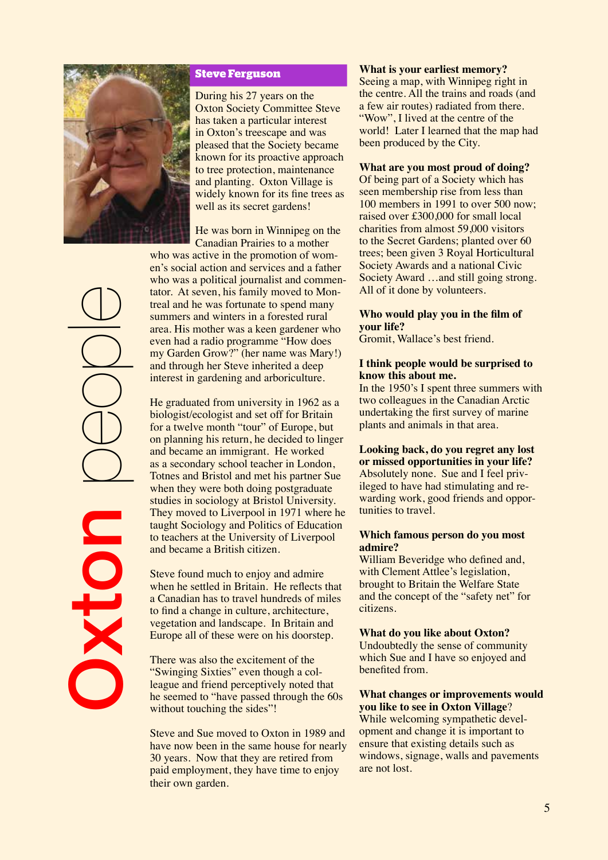

# **Steve Ferguson**

During his 27 years on the Oxton Society Committee Steve has taken a particular interest in Oxton's treescape and was pleased that the Society became known for its proactive approach to tree protection, maintenance and planting. Oxton Village is widely known for its fne trees as well as its secret gardens!

He was born in Winnipeg on the Canadian Prairies to a mother

who was active in the promotion of women's social action and services and a father who was a political journalist and commentator. At seven, his family moved to Montreal and he was fortunate to spend many summers and winters in a forested rural area. His mother was a keen gardener who even had a radio programme "How does my Garden Grow?" (her name was Mary!) and through her Steve inherited a deep interest in gardening and arboriculture.

He graduated from university in 1962 as a biologist/ecologist and set off for Britain for a twelve month "tour" of Europe, but on planning his return, he decided to linger and became an immigrant. He worked as a secondary school teacher in London, Totnes and Bristol and met his partner Sue when they were both doing postgraduate studies in sociology at Bristol University. They moved to Liverpool in 1971 where he taught Sociology and Politics of Education to teachers at the University of Liverpool and became a British citizen.

Steve found much to enjoy and admire when he settled in Britain. He reflects that a Canadian has to travel hundreds of miles to fnd a change in culture, architecture, vegetation and landscape. In Britain and Europe all of these were on his doorstep.

There was also the excitement of the "Swinging Sixties" even though a colleague and friend perceptively noted that he seemed to "have passed through the 60s without touching the sides"!

Steve and Sue moved to Oxton in 1989 and have now been in the same house for nearly 30 years. Now that they are retired from paid employment, they have time to enjoy their own garden.

## **What is your earliest memory?**

Seeing a map, with Winnipeg right in the centre. All the trains and roads (and a few air routes) radiated from there. "Wow". I lived at the centre of the world! Later I learned that the map had been produced by the City.

# **What are you most proud of doing?**

Of being part of a Society which has seen membership rise from less than 100 members in 1991 to over 500 now; raised over £300,000 for small local charities from almost 59,000 visitors to the Secret Gardens; planted over 60 trees; been given 3 Royal Horticultural Society Awards and a national Civic Society Award …and still going strong. All of it done by volunteers.

# **Who would play you in the flm of your life?**

Gromit, Wallace's best friend.

## **I think people would be surprised to know this about me.**

In the 1950's I spent three summers with two colleagues in the Canadian Arctic undertaking the frst survey of marine plants and animals in that area.

**Looking back, do you regret any lost or missed opportunities in your life?** Absolutely none. Sue and I feel privileged to have had stimulating and rewarding work, good friends and opportunities to travel.

## **Which famous person do you most admire?**

William Beveridge who defned and, with Clement Attlee's legislation, brought to Britain the Welfare State and the concept of the "safety net" for citizens.

## **What do you like about Oxton?**

Undoubtedly the sense of community which Sue and I have so enjoyed and benefted from.

# **What changes or improvements would you like to see in Oxton Village**?

While welcoming sympathetic development and change it is important to ensure that existing details such as windows, signage, walls and pavements are not lost.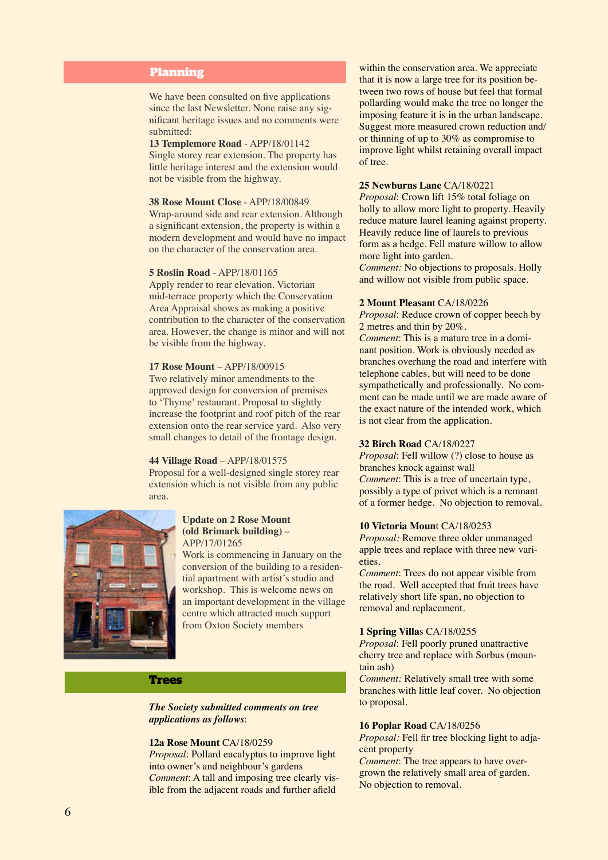# **Planning**

We have been consulted on five applications since the last Newsletter. None raise any signifcant heritage issues and no comments were submitted:

### **13 Templemore Road** - APP/18/01142

Single storey rear extension. The property has little heritage interest and the extension would not be visible from the highway.

#### **38 Rose Mount Close** - APP/18/00849

Wrap-around side and rear extension. Although a signifcant extension, the property is within a modern development and would have no impact on the character of the conservation area.

#### **5 Roslin Road** - APP/18/01165

Apply render to rear elevation. Victorian mid-terrace property which the Conservation Area Appraisal shows as making a positive contribution to the character of the conservation area. However, the change is minor and will not be visible from the highway.

#### **17 Rose Mount** – APP/18/00915

Two relatively minor amendments to the approved design for conversion of premises to 'Thyme' restaurant. Proposal to slightly increase the footprint and roof pitch of the rear extension onto the rear service yard. Also very small changes to detail of the frontage design.

#### **44 Village Road** – APP/18/01575

Proposal for a well-designed single storey rear extension which is not visible from any public area.



#### **Update on 2 Rose Mount (old Brimark building)** – APP/17/01265

Work is commencing in January on the conversion of the building to a residential apartment with artist's studio and workshop. This is welcome news on an important development in the village centre which attracted much support from Oxton Society members

## **Trees**

*The Society submitted comments on tree applications as follows*:

#### **12a Rose Mount** CA/18/0259

*Proposal*: Pollard eucalyptus to improve light into owner's and neighbour's gardens *Comment*: A tall and imposing tree clearly visible from the adjacent roads and further afeld

within the conservation area. We appreciate that it is now a large tree for its position between two rows of house but feel that formal pollarding would make the tree no longer the imposing feature it is in the urban landscape. Suggest more measured crown reduction and/ or thinning of up to 30% as compromise to improve light whilst retaining overall impact of tree.

### **25 Newburns Lane** CA/18/0221

*Proposal*: Crown lift 15% total foliage on holly to allow more light to property. Heavily reduce mature laurel leaning against property. Heavily reduce line of laurels to previous form as a hedge. Fell mature willow to allow more light into garden.

*Comment:* No objections to proposals. Holly and willow not visible from public space.

#### **2 Mount Pleasan**t CA/18/0226

*Proposal*: Reduce crown of copper beech by 2 metres and thin by 20%.

*Comment*: This is a mature tree in a dominant position. Work is obviously needed as branches overhang the road and interfere with telephone cables, but will need to be done sympathetically and professionally. No comment can be made until we are made aware of the exact nature of the intended work, which is not clear from the application.

#### **32 Birch Road** CA/18/0227

*Proposal*: Fell willow (?) close to house as branches knock against wall *Comment*: This is a tree of uncertain type, possibly a type of privet which is a remnant of a former hedge. No objection to removal.

#### **10 Victoria Moun**t CA/18/0253

*Proposal:* Remove three older unmanaged apple trees and replace with three new varieties.

*Comment*: Trees do not appear visible from the road. Well accepted that fruit trees have relatively short life span, no objection to removal and replacement.

#### **1 Spring Villa**s CA/18/0255

*Proposal*: Fell poorly pruned unattractive cherry tree and replace with Sorbus (mountain ash)

*Comment:* Relatively small tree with some branches with little leaf cover. No objection to proposal.

#### **16 Poplar Road** CA/18/0256

*Proposal:* Fell fir tree blocking light to adjacent property

*Comment*: The tree appears to have overgrown the relatively small area of garden. No objection to removal.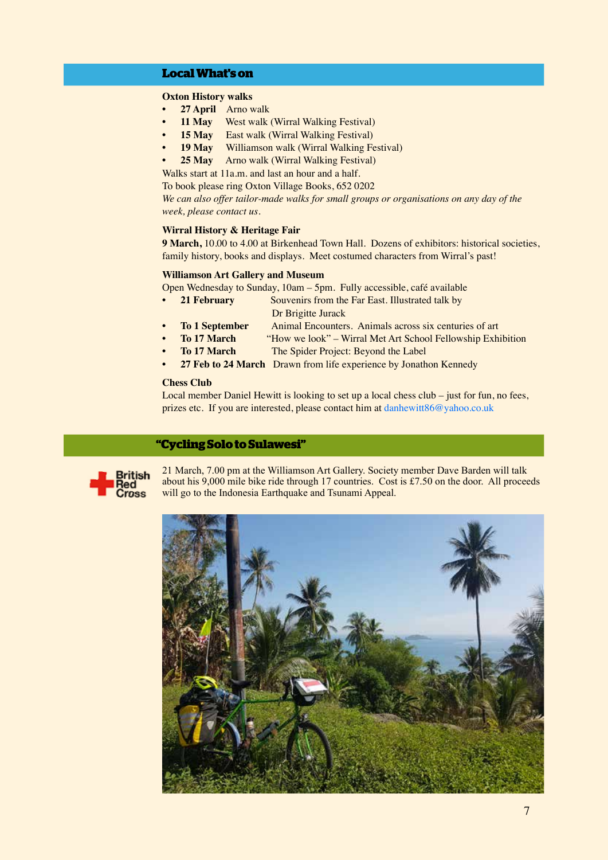# **Local What's on**

## **Oxton History walks**

- **• 27 April** Arno walk
- **11 May** West walk (Wirral Walking Festival)
- **15 May** East walk (Wirral Walking Festival)
- **• 19 May** Williamson walk (Wirral Walking Festival)
- **• 25 May** Arno walk (Wirral Walking Festival)
- Walks start at 11a.m. and last an hour and a half.

To book please ring Oxton Village Books, 652 0202

*We can also offer tailor-made walks for small groups or organisations on any day of the week, please contact us.*

# **Wirral History & Heritage Fair**

**9 March,** 10.00 to 4.00 at Birkenhead Town Hall. Dozens of exhibitors: historical societies, family history, books and displays. Meet costumed characters from Wirral's past!

#### **Williamson Art Gallery and Museum**

Open Wednesday to Sunday, 10am – 5pm. Fully accessible, café available

- **21 February** Souvenirs from the Far East. Illustrated talk by Dr Brigitte Jurack
- **• To 1 September** Animal Encounters. Animals across six centuries of art
	- **• To 17 March** "How we look" Wirral Met Art School Fellowship Exhibition
- **To 17 March •** The Spider Project: Beyond the Label
	- **• 27 Feb to 24 March** Drawn from life experience by Jonathon Kennedy

#### **Chess Club**

Local member Daniel Hewitt is looking to set up a local chess club – just for fun, no fees, prizes etc. If you are interested, please contact him at danhewitt86@yahoo.co.uk

# **"Cycling Solo to Sulawesi"**



21 March, 7.00 pm at the Williamson Art Gallery. Society member Dave Barden will talk about his 9,000 mile bike ride through 17 countries. Cost is £7.50 on the door. All proceeds will go to the Indonesia Earthquake and Tsunami Appeal.